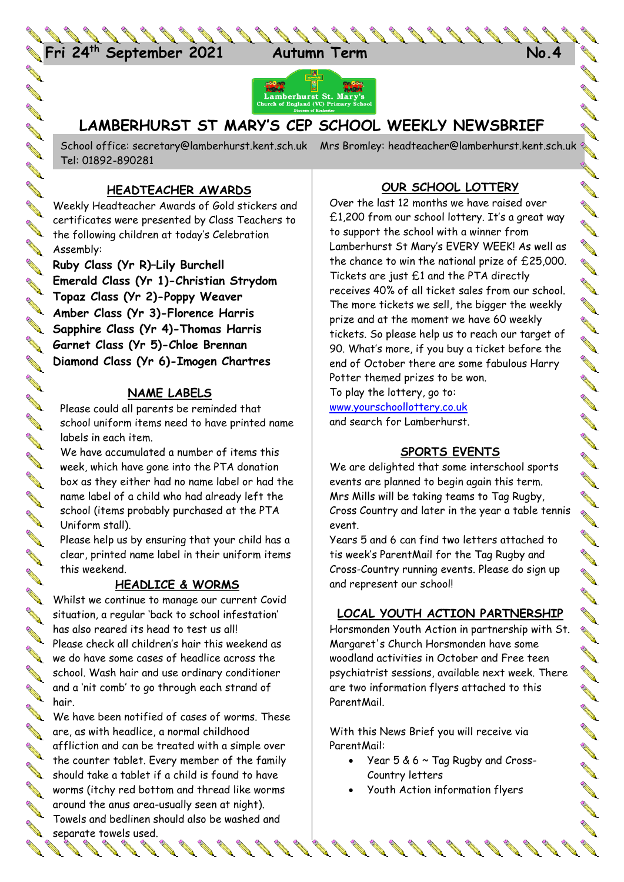



# **LAMBERHURST ST MARY'S CEP SCHOOL WEEKLY NEWSBRIEF**

**ANTI** School office: [secretary@lamberhurst.kent.sch.uk](mailto:secretary@lamberhurst.kent.sch.uk) Mrs Bromley: headteacher@lamberhurst.kent.sch.uk Tel: 01892-890281 **ANTI** 

## **HEADTEACHER AWARDS**

Weekly Headteacher Awards of Gold stickers and certificates were presented by Class Teachers to certificates were produced by  $\sum_{n=1}^{\infty}$  certificates were produced by  $\sum_{n=1}^{\infty}$ **Assembly:** 

**Ruby Class (Yr R)–Lily Burchell Emerald Class (Yr 1)-Christian Strydom Topaz Class (Yr 2)-Poppy Weaver**<br> **Topaz Class (Yr 2)-Poppy Weaver Amber Class (Yr 3)-Florence Harris**<br>**Amber Class (Yr 3)-Florence Harris**<br>Amber Class (Yr 3) Thomas Harri **Sapphire Class (Yr 4)-Thomas Harris Garnet Class (Yr 5)-Chloe Brennan Diamond Class (Yr 6)-Imogen Chartres**

## **NAME LABELS**

Please could all parents be reminded that school uniform items need to have printed name labels in each item.

We have accumulated a number of items this week, which have gone into the PTA donation box as they either had no name label or had the name label of a child who had already left the school (items probably purchased at the PTA Uniform stall).

Please help us by ensuring that your child has a clear, printed name label in their uniform items this weekend.

### **HEADLICE & WORMS**

Whilst we continue to manage our current Covid situation, a regular 'back to school infestation' has also reared its head to test us all! Please check all children's hair this weekend as we do have some cases of headlice across the school. Wash hair and use ordinary conditioner and a 'nit comb' to go through each strand of hair.

We have been notified of cases of worms. These are, as with headlice, a normal childhood affliction and can be treated with a simple over the counter tablet. Every member of the family should take a tablet if a child is found to have worms (itchy red bottom and thread like worms around the anus area-usually seen at night). Towels and bedlinen should also be washed and separate towels used. 

 $\mathscr{P}$  ,

# **OUR SCHOOL LOTTERY**

**ANTI AVE** 

**ANTI** 

**AVE** 

**AND ANTI Contract Contract Contract Contract Contract Contract Contract Contract Contract Contract Contract Contract Contract Contract Contract Contract Contract Contract Contract Contract Contract Contract Contract Contract Contr AVE** 

**ALLES ANTI AND ANTI** 

**ANTI** 

**ANTI** 

**ALL CONVENTION** 

**AVE** 

**ANTI** 

**ANTI** 

**ALL** 

**AVENT** 

**All Contracts** 

**AVEN** 

**Contract of the Contract of the Contract of The Contract of The Contract of The Contract of The Contract of The Contract of The Contract of The Contract of The Contract of The Contract of The Contract of The Contract of T** 

**AVER AVE** 

**ANTI All Contracts AVE** 

**ANTI** 

**AVER AVE ANTI AVERA ANTI ALL** 

**AVE** 

Over the last 12 months we have raised over £1,200 from our school lottery. It's a great way to support the school with a winner from Lamberhurst St Mary's EVERY WEEK! As well as the chance to win the national prize of £25,000. Tickets are just £1 and the PTA directly receives 40% of all ticket sales from our school. The more tickets we sell, the bigger the weekly prize and at the moment we have 60 weekly tickets. So please help us to reach our target of 90. What's more, if you buy a ticket before the end of October there are some fabulous Harry Potter themed prizes to be won.

To play the lottery, go to: [www.yourschoollottery.co.uk](http://www.yourschoollottery.co.uk/) and search for Lamberhurst.

## **SPORTS EVENTS**

We are delighted that some interschool sports events are planned to begin again this term. Mrs Mills will be taking teams to Tag Rugby, Cross Country and later in the year a table tennis event.

Years 5 and 6 can find two letters attached to tis week's ParentMail for the Tag Rugby and Cross-Country running events. Please do sign up and represent our school!

### **LOCAL YOUTH ACTION PARTNERSHIP**

Horsmonden Youth Action in partnership with St. Margaret's Church Horsmonden have some woodland activities in October and Free teen psychiatrist sessions, available next week. There are two information flyers attached to this ParentMail.

With this News Brief you will receive via ParentMail:

- Year 5 & 6 ~ Tag Rugby and Cross-Country letters
- Youth Action information flyers